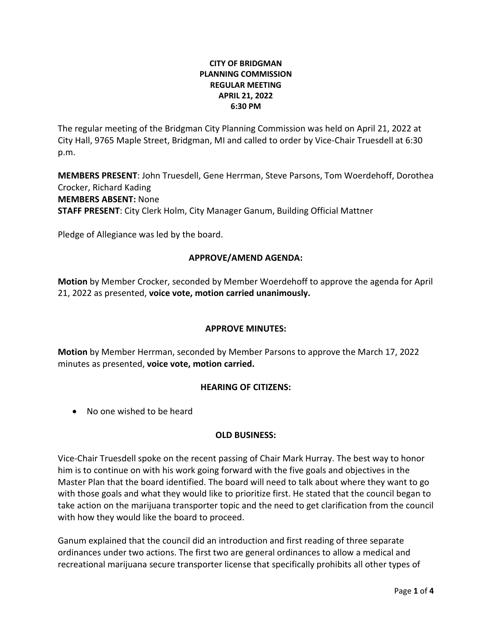## **CITY OF BRIDGMAN PLANNING COMMISSION REGULAR MEETING APRIL 21, 2022 6:30 PM**

The regular meeting of the Bridgman City Planning Commission was held on April 21, 2022 at City Hall, 9765 Maple Street, Bridgman, MI and called to order by Vice-Chair Truesdell at 6:30 p.m.

**MEMBERS PRESENT**: John Truesdell, Gene Herrman, Steve Parsons, Tom Woerdehoff, Dorothea Crocker, Richard Kading **MEMBERS ABSENT:** None **STAFF PRESENT**: City Clerk Holm, City Manager Ganum, Building Official Mattner

Pledge of Allegiance was led by the board.

## **APPROVE/AMEND AGENDA:**

**Motion** by Member Crocker, seconded by Member Woerdehoff to approve the agenda for April 21, 2022 as presented, **voice vote, motion carried unanimously.**

### **APPROVE MINUTES:**

**Motion** by Member Herrman, seconded by Member Parsons to approve the March 17, 2022 minutes as presented, **voice vote, motion carried.**

### **HEARING OF CITIZENS:**

• No one wished to be heard

### **OLD BUSINESS:**

Vice-Chair Truesdell spoke on the recent passing of Chair Mark Hurray. The best way to honor him is to continue on with his work going forward with the five goals and objectives in the Master Plan that the board identified. The board will need to talk about where they want to go with those goals and what they would like to prioritize first. He stated that the council began to take action on the marijuana transporter topic and the need to get clarification from the council with how they would like the board to proceed.

Ganum explained that the council did an introduction and first reading of three separate ordinances under two actions. The first two are general ordinances to allow a medical and recreational marijuana secure transporter license that specifically prohibits all other types of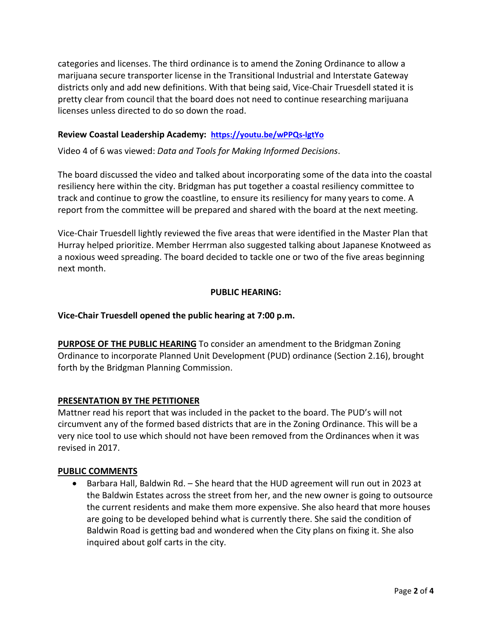categories and licenses. The third ordinance is to amend the Zoning Ordinance to allow a marijuana secure transporter license in the Transitional Industrial and Interstate Gateway districts only and add new definitions. With that being said, Vice-Chair Truesdell stated it is pretty clear from council that the board does not need to continue researching marijuana licenses unless directed to do so down the road.

## **Review Coastal Leadership Academy: <https://youtu.be/wPPQs-lgtYo>**

Video 4 of 6 was viewed: *Data and Tools for Making Informed Decisions*.

The board discussed the video and talked about incorporating some of the data into the coastal resiliency here within the city. Bridgman has put together a coastal resiliency committee to track and continue to grow the coastline, to ensure its resiliency for many years to come. A report from the committee will be prepared and shared with the board at the next meeting.

Vice-Chair Truesdell lightly reviewed the five areas that were identified in the Master Plan that Hurray helped prioritize. Member Herrman also suggested talking about Japanese Knotweed as a noxious weed spreading. The board decided to tackle one or two of the five areas beginning next month.

### **PUBLIC HEARING:**

### **Vice-Chair Truesdell opened the public hearing at 7:00 p.m.**

**PURPOSE OF THE PUBLIC HEARING** To consider an amendment to the Bridgman Zoning Ordinance to incorporate Planned Unit Development (PUD) ordinance (Section 2.16), brought forth by the Bridgman Planning Commission.

### **PRESENTATION BY THE PETITIONER**

Mattner read his report that was included in the packet to the board. The PUD's will not circumvent any of the formed based districts that are in the Zoning Ordinance. This will be a very nice tool to use which should not have been removed from the Ordinances when it was revised in 2017.

### **PUBLIC COMMENTS**

• Barbara Hall, Baldwin Rd. – She heard that the HUD agreement will run out in 2023 at the Baldwin Estates across the street from her, and the new owner is going to outsource the current residents and make them more expensive. She also heard that more houses are going to be developed behind what is currently there. She said the condition of Baldwin Road is getting bad and wondered when the City plans on fixing it. She also inquired about golf carts in the city.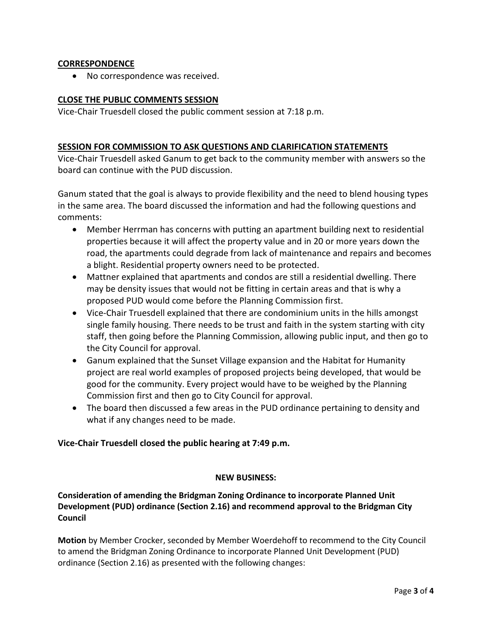### **CORRESPONDENCE**

• No correspondence was received.

#### **CLOSE THE PUBLIC COMMENTS SESSION**

Vice-Chair Truesdell closed the public comment session at 7:18 p.m.

#### **SESSION FOR COMMISSION TO ASK QUESTIONS AND CLARIFICATION STATEMENTS**

Vice-Chair Truesdell asked Ganum to get back to the community member with answers so the board can continue with the PUD discussion.

Ganum stated that the goal is always to provide flexibility and the need to blend housing types in the same area. The board discussed the information and had the following questions and comments:

- Member Herrman has concerns with putting an apartment building next to residential properties because it will affect the property value and in 20 or more years down the road, the apartments could degrade from lack of maintenance and repairs and becomes a blight. Residential property owners need to be protected.
- Mattner explained that apartments and condos are still a residential dwelling. There may be density issues that would not be fitting in certain areas and that is why a proposed PUD would come before the Planning Commission first.
- Vice-Chair Truesdell explained that there are condominium units in the hills amongst single family housing. There needs to be trust and faith in the system starting with city staff, then going before the Planning Commission, allowing public input, and then go to the City Council for approval.
- Ganum explained that the Sunset Village expansion and the Habitat for Humanity project are real world examples of proposed projects being developed, that would be good for the community. Every project would have to be weighed by the Planning Commission first and then go to City Council for approval.
- The board then discussed a few areas in the PUD ordinance pertaining to density and what if any changes need to be made.

### **Vice-Chair Truesdell closed the public hearing at 7:49 p.m.**

#### **NEW BUSINESS:**

**Consideration of amending the Bridgman Zoning Ordinance to incorporate Planned Unit Development (PUD) ordinance (Section 2.16) and recommend approval to the Bridgman City Council**

**Motion** by Member Crocker, seconded by Member Woerdehoff to recommend to the City Council to amend the Bridgman Zoning Ordinance to incorporate Planned Unit Development (PUD) ordinance (Section 2.16) as presented with the following changes: